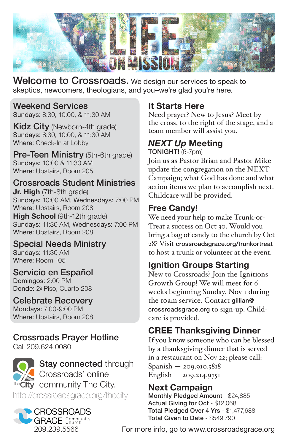

Welcome to Crossroads. We design our services to speak to skeptics, newcomers, theologians, and you–we're glad you're here.

# Weekend Services

Sundays: 8:30, 10:00, & 11:30 AM

**Kidz City** (Newborn-4th grade) Sundays: 8:30, 10:00, & 11:30 AM Where: Check-In at Lobby

**Pre-Teen Ministry** (5th-6th grade) Sundays: 10:00 & 11:30 AM Where: Upstairs, Room 205

#### Crossroads Student Ministries

**Jr. High** (7th-8th grade) Sundays: 10:00 AM, Wednesdays: 7:00 PM Where: Upstairs, Room 208

**High School** (9th-12th grade) Sundays: 11:30 AM, Wednesdays: 7:00 PM Where: Upstairs, Room 208

#### Special Needs Ministry

Sundays: 11:30 AM Where: Room 105

#### Servicio en Español

Domingos: 2:00 PM Donde: 2º Piso, Cuarto 208

#### Celebrate Recovery

Mondays: 7:00-9:00 PM Where: Upstairs, Room 208

#### Crossroads Prayer Hotline

Call 209.624.0080



#### CROSSROADS **GRACE** Community 209.239.5566

### **It Starts Here**

Need prayer? New to Jesus? Meet by the cross, to the right of the stage, and a team member will assist you.

## *NEXT Up* **Meeting**

TONIGHT! (6-7pm)

Join us as Pastor Brian and Pastor Mike update the congregation on the NEXT Campaign; what God has done and what action items we plan to accomplish next. Childcare will be provided.

## **Free Candy!**

We need your help to make Trunk-or-Treat a success on Oct 30. Would you bring a bag of candy to the church by Oct 28? Visit crossroadsgrace.org/trunkortreat to host a trunk or volunteer at the event.

# **Ignition Groups Starting**

New to Crossroads? Join the Ignitions Growth Group! We will meet for 6 weeks beginning Sunday, Nov 1 during the 10am service. Contact gillian@ crossroadsgrace.org to sign-up. Childcare is provided.

# **CREE Thanksgiving Dinner**

If you know someone who can be blessed by a thanksgiving dinner that is served in a restaurant on Nov 22; please call: Spanish — 209.910.5818  $English - 209.214.9751$ 

# **Next Campaign**

Monthly Pledged Amount - \$24,885 Actual Giving for Oct - \$12,068 Total Pledged Over 4 Yrs - \$1,477,688 Total Given to Date - \$549,790

For more info, go to www.crossroadsgrace.org